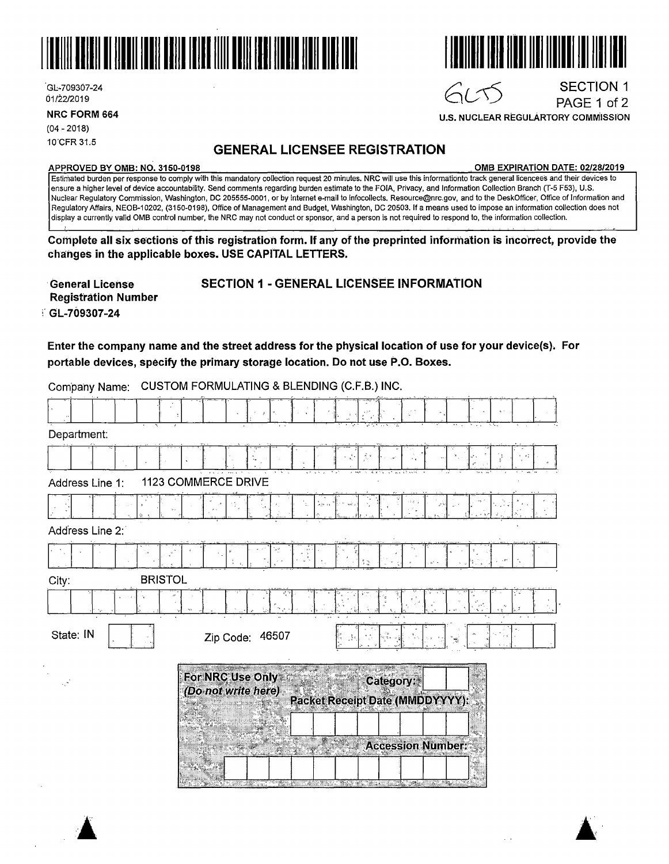

.Gl.:-709307-24 01/22/2019

**NRC FORM 664** 

(04 - 2018) 10'CFR 31.5

# **GENERAL LICENSEE REGISTRATION**

#### **APPROVED BY 0MB: NO. 3150-0198 0MB EXPIRATION DATE: 02/28/2019**

**U.S. NUCLEAR REGULARTORY COMMISSION** 

6655

SECTION 1 PAGE 1 of 2

Estimated burden per response to comply with this mandatory collection request 20 minutes. **NRC** will use this informatidnto track general licencees and their devices to ensure a higher level of device accountability. Send comments regarding burden estimate to the FOIA, Privacy, and Information Collection Branch (T-5 F53), U.S. Nuclear Regulatory Commission, Washington, DC 205555-0001, or by internet e-mail to lnfocollects. Resource@nrc.gov, and to the DeskOfficer, Office of Information and Regulatory Affairs, NEOB-10202, (3150-0198), Office of Management and Budget, Washington, DC 20503. If a means used to impose an information collection does not display a currently valid 0MB control number, the NRC may not conduct or sponsor, and a person is not required to respond to, the information collection.

Complete all six sections of this registration form. If any of the preprinted information is incorrect, provide the **changes in the applicable boxes. USE CAPITAL LETTERS.** 

· **General License Registration Number**  :· GL-709307-24

## SECTION 1 - GENERAL LICENSEE INFORMAtlON

**Enter the company name and the street address for the physical location of use for your device(s). For**  portable **devices, specify the primary storage location. Do not use P.O. Boxes.** 

| Company Name:                          | CUSTOM FORMULATING & BLENDING (C.F.B.) INC. |                                         |  |                                                                                                                |                          |           |  |  |  |  |
|----------------------------------------|---------------------------------------------|-----------------------------------------|--|----------------------------------------------------------------------------------------------------------------|--------------------------|-----------|--|--|--|--|
|                                        |                                             |                                         |  |                                                                                                                |                          |           |  |  |  |  |
| Department:                            |                                             |                                         |  |                                                                                                                |                          |           |  |  |  |  |
|                                        |                                             |                                         |  |                                                                                                                |                          |           |  |  |  |  |
| 1123 COMMERCE DRIVE<br>Address Line 1: |                                             |                                         |  |                                                                                                                |                          |           |  |  |  |  |
|                                        |                                             |                                         |  |                                                                                                                |                          |           |  |  |  |  |
| Address Line 2:                        |                                             |                                         |  |                                                                                                                |                          |           |  |  |  |  |
|                                        |                                             |                                         |  |                                                                                                                |                          |           |  |  |  |  |
| City:                                  | <b>BRISTOL</b>                              |                                         |  |                                                                                                                |                          |           |  |  |  |  |
|                                        |                                             |                                         |  |                                                                                                                |                          |           |  |  |  |  |
| State: IN                              |                                             | Zip Code: 46507                         |  |                                                                                                                |                          |           |  |  |  |  |
|                                        |                                             | For NRC Use Only<br>(Do not write here) |  | <b>Packet Receipt Date (MMDDYYYY):</b>                                                                         |                          | Category: |  |  |  |  |
|                                        |                                             |                                         |  |                                                                                                                |                          |           |  |  |  |  |
|                                        |                                             |                                         |  |                                                                                                                | <b>Accession Number:</b> |           |  |  |  |  |
|                                        |                                             |                                         |  | and the state of the state of the state of the state of the state of the state of the state of the state of th |                          |           |  |  |  |  |

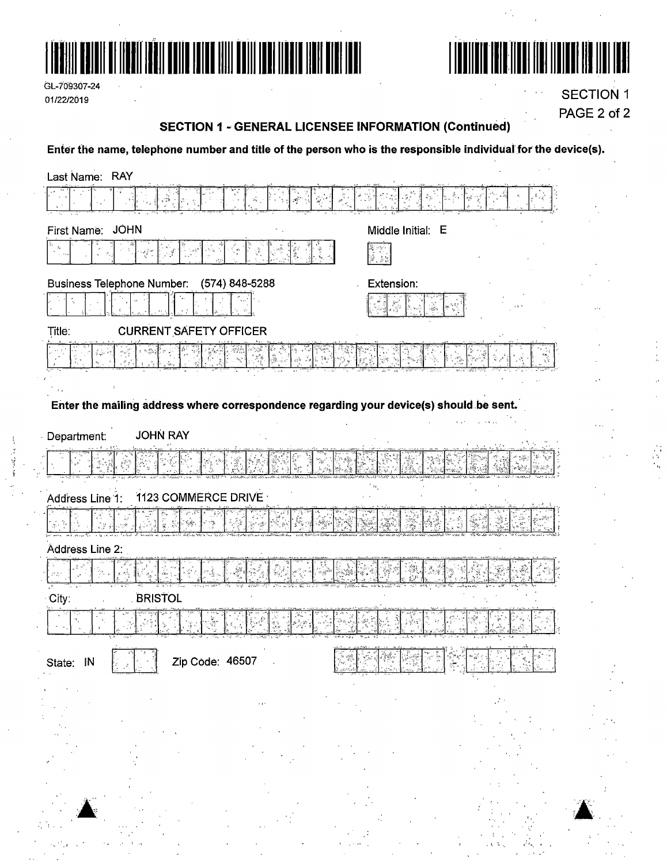

GL-709307-24 01/22/2019



**SECTION 1** PAGE 2 of 2

### **SECTION 1 - GENERAL LICENSEE INFORMATION (Continued)**

Enter the name, telephone number and title of the person who is the responsible individual for the device(s).

| Last Name: RAY                                                                          |                                              |
|-----------------------------------------------------------------------------------------|----------------------------------------------|
| $\hat{\mathbf{p}}_{\mathbf{q}^{\prime},j}^{(i)}$ :<br>್ಲಿಲ್                             |                                              |
| <b>JOHN</b><br>First Name:                                                              | Middle Initial: E                            |
| $\mathcal{G}_{\Psi}$<br>$\frac{1}{\xi^2}$ at                                            |                                              |
| Business Telephone Number:<br>(574) 848-5288                                            | Extension:                                   |
|                                                                                         |                                              |
| <b>CURRENT SAFETY OFFICER</b><br>Title:                                                 |                                              |
|                                                                                         |                                              |
|                                                                                         |                                              |
| Enter the mailing address where correspondence regarding your device(s) should be sent. |                                              |
| <b>JOHN RAY</b><br>Department:                                                          |                                              |
|                                                                                         |                                              |
| 1123 COMMERCE DRIVE                                                                     |                                              |
| Address Line 1:                                                                         |                                              |
|                                                                                         |                                              |
| Address Line 2:                                                                         |                                              |
|                                                                                         |                                              |
| <b>BRISTOL</b><br>City:                                                                 |                                              |
|                                                                                         |                                              |
| নে দেশ<br>Zip Code: 46507<br>State:<br>JN                                               | <del>nt Jennar N</del> ag<br>的复数机球<br>الجدأن |
|                                                                                         |                                              |
|                                                                                         |                                              |
|                                                                                         |                                              |
|                                                                                         |                                              |
|                                                                                         |                                              |
|                                                                                         |                                              |
|                                                                                         |                                              |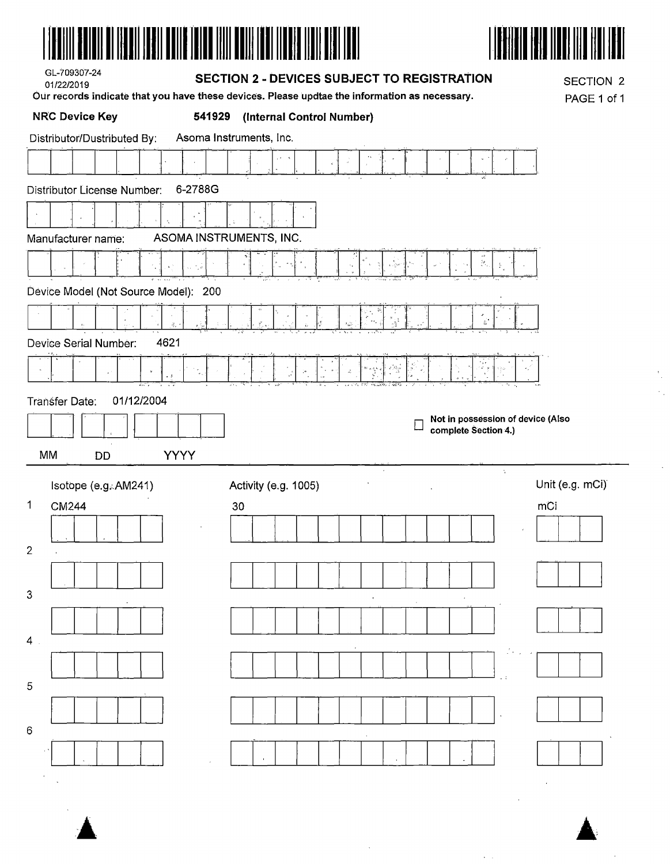



 $\bar{z}$ 

 $\bar{z}$ 

 $\ddot{\phantom{a}}$ 

| GL-709307-24 |
|--------------|
| 01/22/2019   |

#### **SECTION 2 - DEVICES SUBJECT TO REGISTRATION**

Our records indicate that you have these devices. Please updtae the information as necessary.

**SECTION 2** PAGE 1 of 1

| <b>NRC Device Key</b>                  | (Internal Control Number)<br>541929                            |
|----------------------------------------|----------------------------------------------------------------|
| Distributor/Dustributed By:            | Asoma Instruments, Inc.                                        |
|                                        | $\epsilon$ $\zeta$                                             |
| 6-2788G<br>Distributor License Number: |                                                                |
|                                        |                                                                |
| Manufacturer name:                     | ASOMA INSTRUMENTS, INC.                                        |
|                                        | $\mathcal{G}_{\mathcal{O}_{\mathcal{O}}}$                      |
| Device Model (Not Source Model): 200   |                                                                |
| 북.                                     |                                                                |
| Device Serial Number:<br>4621          |                                                                |
|                                        | $\epsilon \gg \omega$<br>$\mathcal{Z}_\mathcal{P}$             |
| 01/12/2004<br>Transfer Date:           |                                                                |
|                                        | Not in possession of device (Also<br>E<br>complete Section 4.) |
|                                        |                                                                |
|                                        |                                                                |
| <b>YYYY</b><br>MM<br><b>DD</b>         | $\gamma$                                                       |
| Isotope (e.g. AM241)                   | Unit (e.g. mCi)<br>Activity (e.g. 1005)                        |
| $\mathbf 1$<br>CM244                   | 30<br>mCi                                                      |
|                                        |                                                                |
| $\mathbf{2}$                           |                                                                |
| 3                                      |                                                                |
|                                        |                                                                |
| 4 <sup>1</sup>                         |                                                                |
|                                        |                                                                |
| 5                                      |                                                                |
|                                        |                                                                |
| 6                                      |                                                                |

 $\ddot{\phantom{a}}$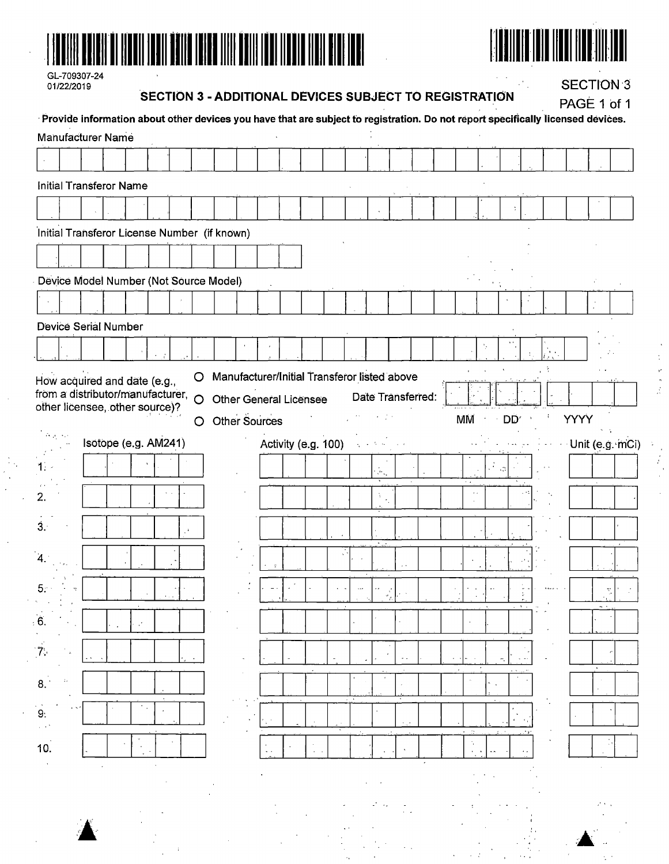



| GL-709307-24 |
|--------------|
| 01/22/2019   |

# SECTION 3 - ADDITIONAL DEVICES SUBJECT TO REGISTRATION

**SECTION 3** 

 $L = 4$ 

 $BA<sub>0</sub> + 4$ 

|       |  |                          |                                  |  |         | Provide information about other devices you have that are subject to registration. Do not report specifically licensed devices. |  |  |                     |                          |                   |             |     |                                           |  | <b>PAGE 1011</b> |     |  |
|-------|--|--------------------------|----------------------------------|--|---------|---------------------------------------------------------------------------------------------------------------------------------|--|--|---------------------|--------------------------|-------------------|-------------|-----|-------------------------------------------|--|------------------|-----|--|
|       |  | <b>Manufacturer Name</b> |                                  |  |         |                                                                                                                                 |  |  |                     |                          |                   |             |     |                                           |  |                  |     |  |
|       |  |                          |                                  |  |         |                                                                                                                                 |  |  |                     |                          |                   |             |     |                                           |  |                  |     |  |
|       |  |                          | <b>Initial Transferor Name</b>   |  |         |                                                                                                                                 |  |  |                     |                          |                   |             |     |                                           |  |                  |     |  |
|       |  |                          |                                  |  |         |                                                                                                                                 |  |  |                     |                          |                   |             |     |                                           |  |                  |     |  |
|       |  |                          |                                  |  |         | Initial Transferor License Number (if known)                                                                                    |  |  |                     |                          |                   |             |     |                                           |  |                  |     |  |
|       |  |                          |                                  |  |         |                                                                                                                                 |  |  |                     |                          |                   |             |     |                                           |  |                  |     |  |
|       |  |                          |                                  |  |         | Device Model Number (Not Source Model)                                                                                          |  |  |                     |                          |                   |             |     |                                           |  |                  |     |  |
|       |  |                          |                                  |  |         |                                                                                                                                 |  |  |                     |                          |                   |             |     |                                           |  |                  |     |  |
|       |  | Device Serial Number     |                                  |  |         |                                                                                                                                 |  |  |                     |                          |                   |             |     |                                           |  |                  |     |  |
|       |  |                          |                                  |  |         |                                                                                                                                 |  |  |                     |                          |                   |             |     |                                           |  |                  |     |  |
|       |  |                          | How acquired and date (e.g.,     |  | $\circ$ | Manufacturer/Initial Transferor listed above                                                                                    |  |  |                     |                          |                   |             |     |                                           |  |                  |     |  |
|       |  |                          | from a distributor/manufacturer, |  | $\circ$ | <b>Other General Licensee</b>                                                                                                   |  |  |                     |                          | Date Transferred: |             |     |                                           |  |                  |     |  |
|       |  |                          | other licensee, other source)?   |  | $\circ$ | Other Sources                                                                                                                   |  |  |                     |                          |                   | MM          |     | DD.                                       |  | YYYY             |     |  |
| Ago.  |  |                          | Isotope (e.g. AM241)             |  |         |                                                                                                                                 |  |  | Activity (e.g. 100) |                          |                   |             |     |                                           |  | Unit (e.g. mCi)  |     |  |
|       |  |                          |                                  |  |         |                                                                                                                                 |  |  |                     | $\mathcal{H}_\mathrm{c}$ |                   |             | у£, | $\mathcal{L}^{\mathcal{A}}_{\mathcal{A}}$ |  |                  |     |  |
| 2.    |  |                          |                                  |  |         |                                                                                                                                 |  |  |                     | ÷.                       |                   | $\lambda$ . |     |                                           |  |                  |     |  |
|       |  |                          |                                  |  |         |                                                                                                                                 |  |  |                     |                          |                   |             |     |                                           |  |                  |     |  |
| $3 -$ |  |                          |                                  |  |         |                                                                                                                                 |  |  |                     |                          |                   |             |     |                                           |  |                  |     |  |
| 4.    |  |                          |                                  |  |         |                                                                                                                                 |  |  |                     |                          |                   |             |     |                                           |  |                  |     |  |
| 5.    |  |                          |                                  |  |         |                                                                                                                                 |  |  |                     |                          |                   |             |     |                                           |  |                  | tr. |  |
| 6.    |  |                          |                                  |  |         |                                                                                                                                 |  |  |                     |                          |                   |             |     |                                           |  |                  |     |  |
|       |  |                          |                                  |  |         |                                                                                                                                 |  |  |                     |                          |                   |             |     |                                           |  |                  |     |  |
| 7.    |  |                          |                                  |  |         |                                                                                                                                 |  |  |                     |                          |                   |             |     |                                           |  |                  |     |  |
| 8.    |  |                          |                                  |  |         |                                                                                                                                 |  |  |                     |                          |                   |             |     |                                           |  |                  |     |  |
| 9.    |  |                          |                                  |  |         |                                                                                                                                 |  |  |                     |                          |                   |             |     |                                           |  |                  |     |  |
|       |  |                          |                                  |  |         |                                                                                                                                 |  |  |                     |                          |                   | ⊷ bi        |     |                                           |  |                  |     |  |
| 10.   |  |                          |                                  |  |         |                                                                                                                                 |  |  |                     |                          |                   |             |     |                                           |  |                  |     |  |
|       |  |                          |                                  |  |         |                                                                                                                                 |  |  |                     |                          |                   |             |     |                                           |  |                  |     |  |
|       |  |                          |                                  |  |         |                                                                                                                                 |  |  |                     |                          |                   |             |     |                                           |  |                  |     |  |
|       |  |                          |                                  |  |         |                                                                                                                                 |  |  |                     |                          |                   |             |     |                                           |  |                  |     |  |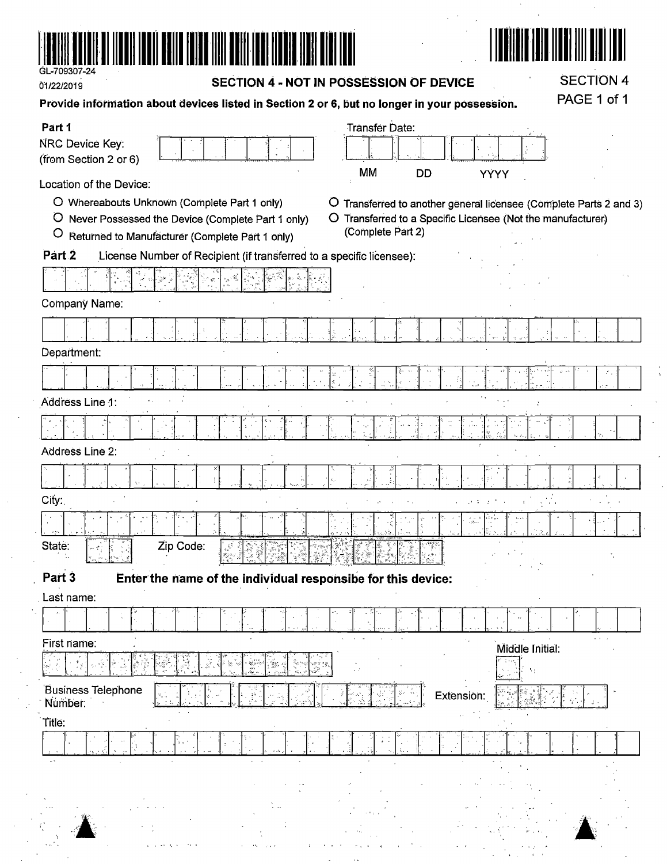

01/22/2019

SECTION 4 - NOT IN POSSESSION OF DEVICE

**SECTION 4** PAGE 1 of 1

 $\lambda$ 

 $\sim$ 

║

| Provide information about devices listed in Section 2 or 6, but no longer in your possession. |  |                |  |  |  |  |  |
|-----------------------------------------------------------------------------------------------|--|----------------|--|--|--|--|--|
| Part 1                                                                                        |  | Transfer Date: |  |  |  |  |  |
| $\mathbf{r}$                                                                                  |  |                |  |  |  |  |  |

| NRC Device Key:                                                                   |                   |                                |                                                                    |           |
|-----------------------------------------------------------------------------------|-------------------|--------------------------------|--------------------------------------------------------------------|-----------|
| (from Section 2 or 6)                                                             | MM                | <b>DD</b>                      |                                                                    |           |
| Location of the Device:                                                           |                   |                                | YÝYY                                                               |           |
| O Whereabouts Unknown (Complete Part 1 only)                                      |                   |                                | O Transferred to another general licensee (Complete Parts 2 and 3) |           |
| O Never Possessed the Device (Complete Part 1 only)                               |                   |                                | O Transferred to a Specific Licensee (Not the manufacturer)        |           |
| $\circ$<br>Returned to Manufacturer (Complete Part 1 only)                        | (Complete Part 2) |                                |                                                                    |           |
| Part 2<br>License Number of Recipient (if transferred to a specific licensee):    |                   |                                |                                                                    |           |
| W)<br>26                                                                          |                   |                                |                                                                    |           |
| Company Name:                                                                     |                   |                                |                                                                    |           |
|                                                                                   |                   |                                |                                                                    |           |
| Department:                                                                       |                   |                                |                                                                    |           |
|                                                                                   |                   |                                |                                                                    |           |
| Address Line 1:                                                                   |                   |                                |                                                                    |           |
|                                                                                   |                   |                                |                                                                    |           |
| Address Line 2:                                                                   |                   |                                |                                                                    |           |
|                                                                                   |                   |                                |                                                                    |           |
| City:                                                                             |                   |                                |                                                                    |           |
|                                                                                   |                   | $\langle \hat{\alpha} \rangle$ |                                                                    |           |
| Zip Code:<br>State:                                                               |                   |                                |                                                                    |           |
| Part <sub>3</sub><br>Enter the name of the individual responsibe for this device: |                   |                                |                                                                    |           |
| Last name:                                                                        |                   |                                |                                                                    |           |
|                                                                                   |                   |                                |                                                                    |           |
| First name:                                                                       |                   |                                | Middle Initial:                                                    | $\sim 10$ |
| 뿂<br>Y.                                                                           | $\sim 7$          |                                | A.                                                                 |           |
| <b>Business Telephone</b><br>Number:                                              |                   | Extension:                     |                                                                    |           |
| Title:                                                                            |                   |                                |                                                                    |           |
|                                                                                   |                   |                                |                                                                    |           |
|                                                                                   |                   |                                |                                                                    |           |
|                                                                                   |                   |                                |                                                                    |           |
| $74-$                                                                             |                   |                                |                                                                    |           |

 $\frac{2\pi}{\pi}$  ,  $\frac{1}{\pi}$  $\frac{1}{2}$  ,  $\frac{1}{2}$  ,  $\frac{1}{2}$  ,  $\frac{1}{2}$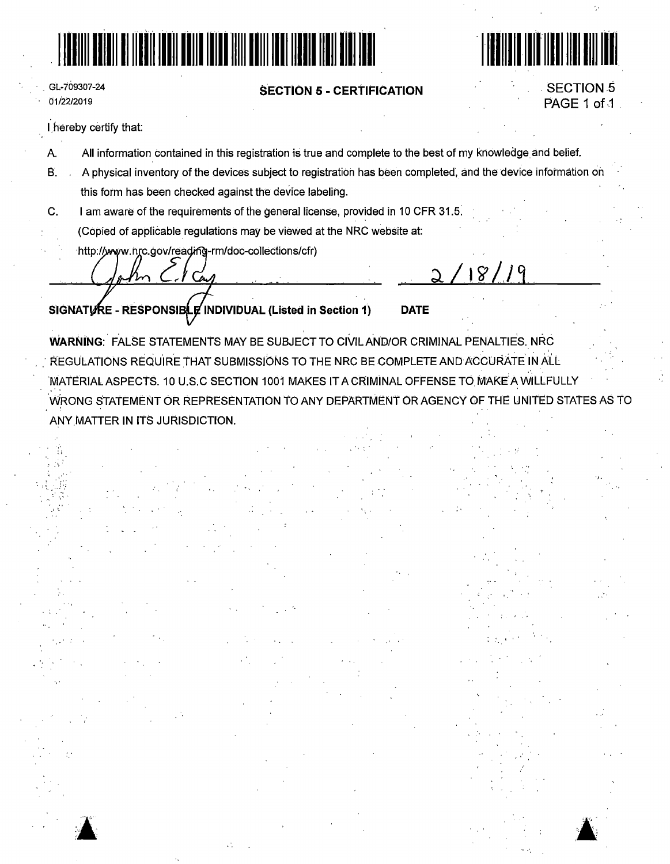



' '  $\mathcal{L}_\alpha$ 

 $\blacktriangle$ :

# **SECTION 5 - CERTIFICATION** . SECTIONS

# PAGE 1 of 1

'/,

GL-709307-24 01/22/2019

• I <sup>~</sup>

·' ·-

1. hereby certify that:

- A. All information contained in this registration is true and complete to the best of my knowledge and belief.
- B. A physical inventory of the devices subject to registration has been completed, and the device information on this form has been checked against the device labeling.
- C. I am aware of the requirements of the general license, provided in 10 CFR 31.s: (Copied of applicable regulations may be viewed at the NRC website at:
	- http://www.nrc.gov/reading-rm/doc-collections/cfr)

Con

**SIGNATURE - RESPONSIBLE INDIVIDUAL (Listed in Section 1) DATE** 

 $18<sup>°</sup>$ 

WARNING: FALSE STATEMENTS MAY BE SUBJECT TO CIVIL AND/OR CRIMINAL PENALTIES. NRC REGULATIONS REQUIRE THAT SUBMISSIONS TO THE NRC BE COMPLETE AND ACCURATE IN ALL 'NiATERIALASPECTS. 10 U.S.C SECTION 1001 MAKES IT A CRIMiNAL OFFENSE TO MAKE'A WILLFULLY \ilfRONG STATEMENT OR REPRESENTATION TO ANY DEPARTMENT OR AGENCY OF THE UNITED STATES AS TO ANY.MATTER IN ITS JURISDICTION.